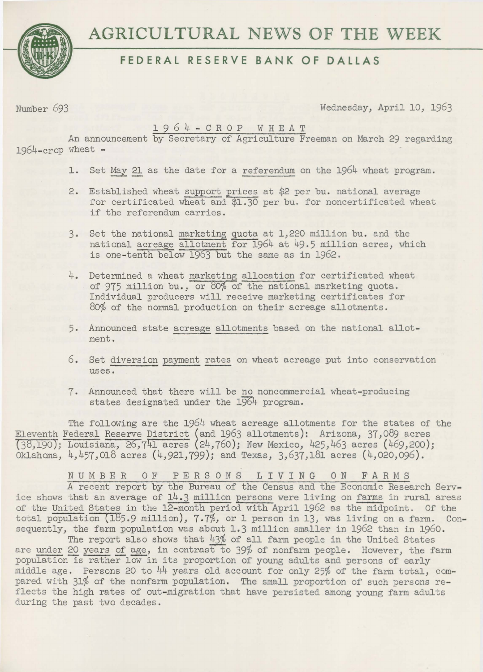

# **FEDERAL RESERVE BANK OF DALLAS**

Number 693 Wednesday, April 10, 1963

# 1 9 6 4 - C R 0 P W H E A T

An announcement by Secretary of Agriculture Freeman on March 29 regarding  $1964 - c$ rop wheat  $-$ 

- 1. Set May 21 as the date for a referendum on the 1964 wheat program.
- 2. Established wheat support prices at \$2 *per* bu. national average for certificated wheat and \$1.30 per bu. for noncertificated wheat if the referendum carries.
- 3. Set the national marketing quota at 1,220 million bu. and the national acreage allotment for 1964 at 49.5 million acres, which is one-tenth below 1963 but the same as in 1962.
- 4. Determined a wheat marketing allocation for certificated wheat of 975 million bu., or 80% of the national marketing quota. Individual producers will receive marketing certificates for 80% of the normal production on their acreage allotments.
- 5. Announced state acreage allotments based on the national allotment.
- 6. Set diversion payment rates on wheat acreage put into conservation uses.
- 7. Announced that there will be no noncommercial wheat-producing states designated under the 1964 program.

The following are the 1964 wheat acreage allotments for the states of the Eleventh Federal Reserve District (and 1963 allotments): Arizona, 37,089 acres (38)190); Louisiana, 26,741 acres (24,760); New Mexico, 425,463 acres (469,200); Oklahoma, 4,457,018 acres (4,921,799); and Texas, 3,637,181 acres (4,020,096).

NUMBER 0 F PERSONS LIVING ON FARMS

A recent report by the Bureau of the Census and the Economic Research Service shows that an average of 14.3 million persons were living on farms in rural areas of the United States in the 12-month period with April 1962 as the midpoint. Of the total population (185.9 million), 7.7%, or 1 person in 13, was living on a farm. Consequently, the farm population was about 1.3 million smaller in 1962 than in 1960.

The report also shows that  $43\%$  of all farm people in the United States are under 20 years of age, in contrast to 39% of nonfarm people. However, the farm population is rather low in its proportion of young adults and persons of early middle age. Persons 20 to  $44$  years old account for only 25% of the farm total, compared with 31% of the nonfarm population. The small proportion of such persons reflects the high rates of out-migration that have persisted among young farm adults during the past two decades.